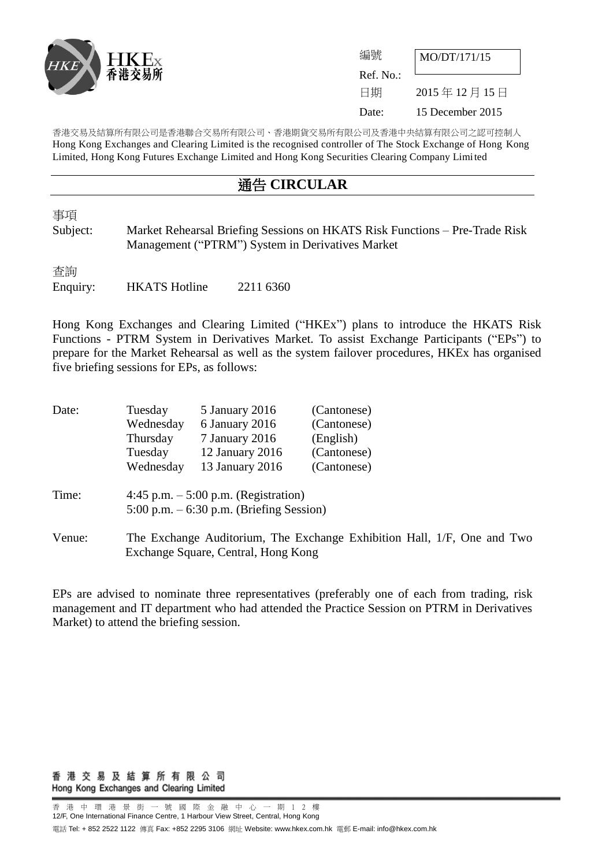

| 編號        | MO/DT/171/15     |  |
|-----------|------------------|--|
| Ref. No.: |                  |  |
| 日期        | 2015年12月15日      |  |
| Date:     | 15 December 2015 |  |

香港交易及結算所有限公司是香港聯合交易所有限公司、香港期貨交易所有限公司及香港中央結算有限公司之認可控制人 Hong Kong Exchanges and Clearing Limited is the recognised controller of The Stock Exchange of Hong Kong Limited, Hong Kong Futures Exchange Limited and Hong Kong Securities Clearing Company Limited

## 通告 **CIRCULAR**

事項

Subject: Market Rehearsal Briefing Sessions on HKATS Risk Functions – Pre-Trade Risk Management ("PTRM") System in Derivatives Market

査詢 Enquiry: HKATS Hotline 2211 6360

Hong Kong Exchanges and Clearing Limited ("HKEx") plans to introduce the HKATS Risk Functions - PTRM System in Derivatives Market. To assist Exchange Participants ("EPs") to prepare for the Market Rehearsal as well as the system failover procedures, HKEx has organised five briefing sessions for EPs, as follows:

| Date:  | Tuesday   | 5 January 2016                                                                                                 | (Cantonese) |  |  |  |
|--------|-----------|----------------------------------------------------------------------------------------------------------------|-------------|--|--|--|
|        | Wednesday | 6 January 2016                                                                                                 | (Cantonese) |  |  |  |
|        | Thursday  | 7 January 2016                                                                                                 | (English)   |  |  |  |
|        | Tuesday   | 12 January 2016                                                                                                | (Cantonese) |  |  |  |
|        | Wednesday | 13 January 2016                                                                                                | (Cantonese) |  |  |  |
| Time:  |           | 4:45 p.m. $-5:00$ p.m. (Registration)<br>$5:00$ p.m. $-6:30$ p.m. (Briefing Session)                           |             |  |  |  |
| Venue: |           | The Exchange Auditorium, The Exchange Exhibition Hall, 1/F, One and Two<br>Exchange Square, Central, Hong Kong |             |  |  |  |

EPs are advised to nominate three representatives (preferably one of each from trading, risk management and IT department who had attended the Practice Session on PTRM in Derivatives Market) to attend the briefing session.

香 港 交 易 及 結 算 所 有 限 公 司 Hong Kong Exchanges and Clearing Limited